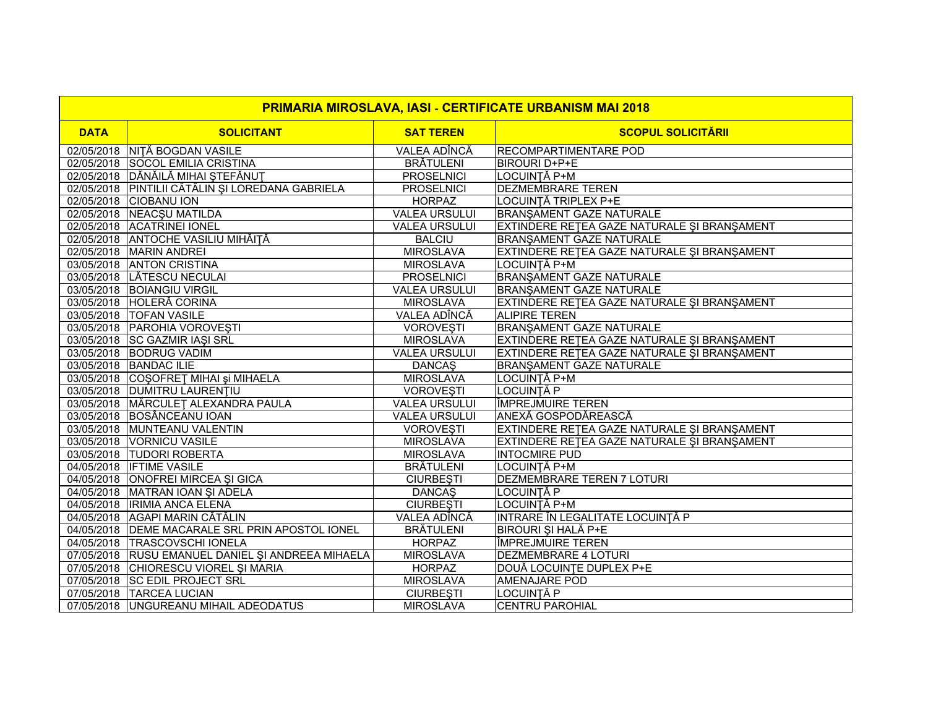| <b>PRIMARIA MIROSLAVA, IASI - CERTIFICATE URBANISM MAI 2018</b> |                                                   |                      |                                             |
|-----------------------------------------------------------------|---------------------------------------------------|----------------------|---------------------------------------------|
| <b>DATA</b>                                                     | <b>SOLICITANT</b>                                 | <b>SAT TEREN</b>     | <b>SCOPUL SOLICITĂRII</b>                   |
|                                                                 | 02/05/2018 NIȚĂ BOGDAN VASILE                     | VALEA ADÎNCĂ         | <b>RECOMPARTIMENTARE POD</b>                |
|                                                                 | 02/05/2018 SOCOL EMILIA CRISTINA                  | <b>BRÄTULENI</b>     | <b>BIROURI D+P+E</b>                        |
|                                                                 | 02/05/2018 DĂNĂILĂ MIHAI ȘTEFĂNUȚ                 | <b>PROSELNICI</b>    | LOCUINȚĂ P+M                                |
|                                                                 | 02/05/2018 PINTILII CĂTĂLIN ȘI LOREDANA GABRIELA  | <b>PROSELNICI</b>    | <b>DEZMEMBRARE TEREN</b>                    |
|                                                                 | 02/05/2018 CIOBANU ION                            | <b>HORPAZ</b>        | LOCUINȚĂ TRIPLEX P+E                        |
|                                                                 | 02/05/2018 NEACSU MATILDA                         | <b>VALEA URSULUI</b> | <b>BRANŞAMENT GAZE NATURALE</b>             |
|                                                                 | 02/05/2018 ACATRINEI IONEL                        | <b>VALEA URSULUI</b> | EXTINDERE RETEA GAZE NATURALE ȘI BRANȘAMENT |
|                                                                 | 02/05/2018 ANTOCHE VASILIU MIHĂIȚĂ                | <b>BALCIU</b>        | <b>BRANŞAMENT GAZE NATURALE</b>             |
|                                                                 | 02/05/2018 MARIN ANDREI                           | <b>MIROSLAVA</b>     | EXTINDERE RETEA GAZE NATURALE ȘI BRANȘAMENT |
|                                                                 | 03/05/2018 ANTON CRISTINA                         | <b>MIROSLAVA</b>     | LOCUINȚĂ P+M                                |
|                                                                 | 03/05/2018 LĂTESCU NECULAI                        | <b>PROSELNICI</b>    | <b>BRANŞAMENT GAZE NATURALE</b>             |
|                                                                 | 03/05/2018 BOIANGIU VIRGIL                        | <b>VALEA URSULUI</b> | <b>BRANŞAMENT GAZE NATURALE</b>             |
|                                                                 | 03/05/2018 HOLERĂ CORINA                          | <b>MIROSLAVA</b>     | EXTINDERE RETEA GAZE NATURALE ȘI BRANȘAMENT |
|                                                                 | 03/05/2018   TOFAN VASILE                         | VALEA ADÎNCĂ         | <b>ALIPIRE TEREN</b>                        |
|                                                                 | 03/05/2018   PAROHIA VOROVEȘTI                    | <b>VOROVEȘTI</b>     | <b>BRANŞAMENT GAZE NATURALE</b>             |
|                                                                 | 03/05/2018 SC GAZMIR IAŞI SRL                     | <b>MIROSLAVA</b>     | EXTINDERE RETEA GAZE NATURALE ȘI BRANȘAMENT |
|                                                                 | 03/05/2018 BODRUG VADIM                           | <b>VALEA URSULUI</b> | EXTINDERE RETEA GAZE NATURALE ȘI BRANȘAMENT |
|                                                                 | 03/05/2018 BANDAC ILIE                            | <b>DANCAS</b>        | <b>BRANSAMENT GAZE NATURALE</b>             |
|                                                                 | 03/05/2018 COŞOFRET MIHAI şi MIHAELA              | <b>MIROSLAVA</b>     | LOCUINȚĂ P+M                                |
|                                                                 | 03/05/2018 DUMITRU LAURENTIU                      | <b>VOROVEȘTI</b>     | LOCUINȚĂ P                                  |
|                                                                 | 03/05/2018   MĂRCULEȚ ALEXANDRA PAULA             | <b>VALEA URSULUI</b> | <b>ÎMPREJMUIRE TEREN</b>                    |
|                                                                 | 03/05/2018 BOSÂNCEANU IOAN                        | <b>VALEA URSULUI</b> | <b>ANEXĂ GOSPODĂREASCĂ</b>                  |
|                                                                 | 03/05/2018 MUNTEANU VALENTIN                      | <b>VOROVEȘTI</b>     | EXTINDERE RETEA GAZE NATURALE ȘI BRANȘAMENT |
|                                                                 | 03/05/2018 VORNICU VASILE                         | <b>MIROSLAVA</b>     | EXTINDERE RETEA GAZE NATURALE ȘI BRANȘAMENT |
|                                                                 | 03/05/2018 TUDORI ROBERTA                         | <b>MIROSLAVA</b>     | <b>INTOCMIRE PUD</b>                        |
|                                                                 | 04/05/2018 <b>IFTIME VASILE</b>                   | <b>BRÄTULENI</b>     | LOCUINȚĂ P+M                                |
|                                                                 | 04/05/2018 ONOFREI MIRCEA ȘI GICA                 | <b>CIURBESTI</b>     | <b>DEZMEMBRARE TEREN 7 LOTURI</b>           |
|                                                                 | 04/05/2018 MATRAN IOAN ŞI ADELA                   | <b>DANCAS</b>        | LOCUINȚĂ P                                  |
|                                                                 | 04/05/2018  IRIMIA ANCA ELENA                     | <b>CIURBEȘTI</b>     | LOCUINȚĂ P+M                                |
|                                                                 | 04/05/2018 AGAPI MARIN CĂTĂLIN                    | <b>VALEA ADÎNCĂ</b>  | INTRARE ÎN LEGALITATE LOCUINȚĂ P            |
|                                                                 | 04/05/2018 DEME MACARALE SRL PRIN APOSTOL IONEL   | <b>BRÄTULENI</b>     | <b>BIROURI ȘI HALĂ P+E</b>                  |
|                                                                 | 04/05/2018   TRASCOVSCHI IONELA                   | <b>HORPAZ</b>        | <b>ÎMPREJMUIRE TEREN</b>                    |
|                                                                 | 07/05/2018 RUSU EMANUEL DANIEL ȘI ANDREEA MIHAELA | <b>MIROSLAVA</b>     | <b>DEZMEMBRARE 4 LOTURI</b>                 |
|                                                                 | 07/05/2018 CHIORESCU VIOREL ȘI MARIA              | <b>HORPAZ</b>        | DOUĂ LOCUINȚE DUPLEX P+E                    |
|                                                                 | 07/05/2018 SC EDIL PROJECT SRL                    | <b>MIROSLAVA</b>     | <b>AMENAJARE POD</b>                        |
|                                                                 | 07/05/2018   TARCEA LUCIAN                        | <b>CIURBEȘTI</b>     | LOCUINȚĂ P                                  |
|                                                                 | 07/05/2018 UNGUREANU MIHAIL ADEODATUS             | <b>MIROSLAVA</b>     | <b>CENTRU PAROHIAL</b>                      |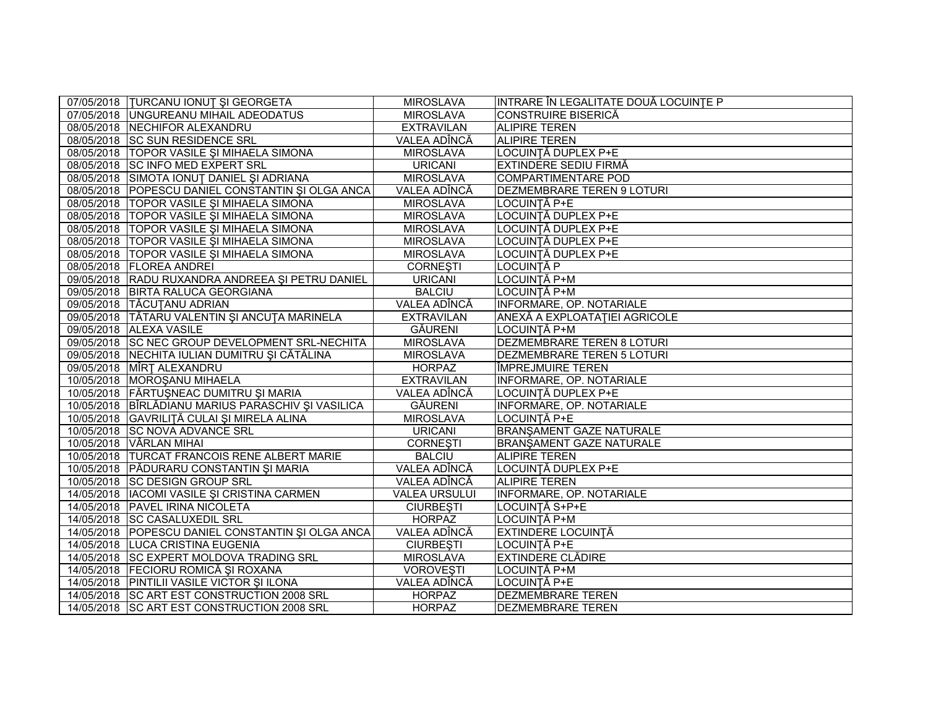| 07/05/2018   TURCANU IONUT ȘI GEORGETA             | <b>MIROSLAVA</b>     | INTRARE ÎN LEGALITATE DOUĂ LOCUINȚE P |
|----------------------------------------------------|----------------------|---------------------------------------|
| 07/05/2018 UNGUREANU MIHAIL ADEODATUS              | <b>MIROSLAVA</b>     | <b>CONSTRUIRE BISERICĂ</b>            |
| 08/05/2018 NECHIFOR ALEXANDRU                      | <b>EXTRAVILAN</b>    | <b>ALIPIRE TEREN</b>                  |
| 08/05/2018 SC SUN RESIDENCE SRL                    | VALEA ADÎNCĂ         | <b>ALIPIRE TEREN</b>                  |
| 08/05/2018   TOPOR VASILE ȘI MIHAELA SIMONA        | <b>MIROSLAVA</b>     | LOCUINȚĂ DUPLEX P+E                   |
| 08/05/2018 SC INFO MED EXPERT SRL                  | <b>URICANI</b>       | EXTINDERE SEDIU FIRMĂ                 |
| 08/05/2018 SIMOTA IONUT DANIEL ȘI ADRIANA          | <b>MIROSLAVA</b>     | COMPARTIMENTARE POD                   |
| 08/05/2018 POPESCU DANIEL CONSTANTIN ȘI OLGA ANCA  | VALEA ADÎNCĂ         | <b>DEZMEMBRARE TEREN 9 LOTURI</b>     |
| 08/05/2018   TOPOR VASILE ȘI MIHAELA SIMONA        | <b>MIROSLAVA</b>     | LOCUINȚĂ P+E                          |
| 08/05/2018   TOPOR VASILE ȘI MIHAELA SIMONA        | <b>MIROSLAVA</b>     | LOCUINȚĂ DUPLEX P+E                   |
| 08/05/2018 TOPOR VASILE ȘI MIHAELA SIMONA          | <b>MIROSLAVA</b>     | LOCUINȚĂ DUPLEX P+E                   |
| 08/05/2018 TOPOR VASILE ȘI MIHAELA SIMONA          | <b>MIROSLAVA</b>     | LOCUINȚĂ DUPLEX P+E                   |
| 08/05/2018   TOPOR VASILE ȘI MIHAELA SIMONA        | <b>MIROSLAVA</b>     | LOCUINȚĂ DUPLEX P+E                   |
| 08/05/2018   FLOREA ANDREI                         | <b>CORNEȘTI</b>      | LOCUINȚĂ P                            |
| 09/05/2018 RADU RUXANDRA ANDREEA ȘI PETRU DANIEL   | <b>URICANI</b>       | LOCUINȚĂ P+M                          |
| 09/05/2018 BIRTA RALUCA GEORGIANA                  | <b>BALCIU</b>        | LOCUINȚĂ P+M                          |
| 09/05/2018   TĂCUȚANU ADRIAN                       | VALEA ADÎNCĂ         | INFORMARE, OP. NOTARIALE              |
| 09/05/2018 TĂTARU VALENTIN ȘI ANCUȚA MARINELA      | <b>EXTRAVILAN</b>    | ANEXĂ A EXPLOATAȚIEI AGRICOLE         |
| 09/05/2018 ALEXA VASILE                            | GĂURENI              | LOCUINȚĂ P+M                          |
| 09/05/2018 SC NEC GROUP DEVELOPMENT SRL-NECHITA    | <b>MIROSLAVA</b>     | <b>DEZMEMBRARE TEREN 8 LOTURI</b>     |
| 09/05/2018 NECHITA IULIAN DUMITRU ȘI CĂTĂLINA      | <b>MIROSLAVA</b>     | DEZMEMBRARE TEREN 5 LOTURI            |
| 09/05/2018 MÎRT ALEXANDRU                          | <b>HORPAZ</b>        | IÎMPREJMUIRE TEREN                    |
| 10/05/2018 MOROŞANU MIHAELA                        | <b>EXTRAVILAN</b>    | INFORMARE, OP. NOTARIALE              |
| 10/05/2018 FĂRTUȘNEAC DUMITRU ȘI MARIA             | VALEA ADÎNCĂ         | LOCUINȚĂ DUPLEX P+E                   |
| 10/05/2018 BÎRLĂDIANU MARIUS PARASCHIV ȘI VASILICA | GĂURENI              | <b>INFORMARE, OP. NOTARIALE</b>       |
| 10/05/2018 GAVRILITĂ CULAI ȘI MIRELA ALINA         | <b>MIROSLAVA</b>     | LOCUINȚĂ P+E                          |
| 10/05/2018 SC NOVA ADVANCE SRL                     | <b>URICANI</b>       | <b>BRANŞAMENT GAZE NATURALE</b>       |
| 10/05/2018 VÂRLAN MIHAI                            | <b>CORNEȘTI</b>      | BRANŞAMENT GAZE NATURALE              |
| 10/05/2018  TURCAT FRANCOIS RENE ALBERT MARIE      | <b>BALCIU</b>        | <b>ALIPIRE TEREN</b>                  |
| 10/05/2018 PĂDURARU CONSTANTIN ȘI MARIA            | VALEA ADÎNCĂ         | LOCUINȚĂ DUPLEX P+E                   |
| 10/05/2018 SC DESIGN GROUP SRL                     | VALEA ADÎNCĂ         | <b>ALIPIRE TEREN</b>                  |
| 14/05/2018   IACOMI VASILE ȘI CRISTINA CARMEN      | <b>VALEA URSULUI</b> | <b>INFORMARE, OP. NOTARIALE</b>       |
| 14/05/2018 PAVEL IRINA NICOLETA                    | <b>CIURBEȘTI</b>     | LOCUINȚĂ S+P+E                        |
| 14/05/2018 SC CASALUXEDIL SRL                      | <b>HORPAZ</b>        | LOCUINȚĂ P+M                          |
| 14/05/2018 POPESCU DANIEL CONSTANTIN ȘI OLGA ANCA  | VALEA ADÎNCĂ         | <b>EXTINDERE LOCUINȚĂ</b>             |
| 14/05/2018 LUCA CRISTINA EUGENIA                   | <b>CIURBEȘTI</b>     | LOCUINȚĂ P+E                          |
| 14/05/2018 SC EXPERT MOLDOVA TRADING SRL           | <b>MIROSLAVA</b>     | <b>EXTINDERE CLĂDIRE</b>              |
| 14/05/2018   FECIORU ROMICĂ ȘI ROXANA              | <b>VOROVEȘTI</b>     | LOCUINȚĂ P+M                          |
| 14/05/2018 PINTILII VASILE VICTOR ȘI ILONA         | VALEA ADÎNCĂ         | LOCUINȚĂ P+E                          |
| 14/05/2018 SC ART EST CONSTRUCTION 2008 SRL        | <b>HORPAZ</b>        | <b>DEZMEMBRARE TEREN</b>              |
| 14/05/2018 SC ART EST CONSTRUCTION 2008 SRL        | <b>HORPAZ</b>        | <b>DEZMEMBRARE TEREN</b>              |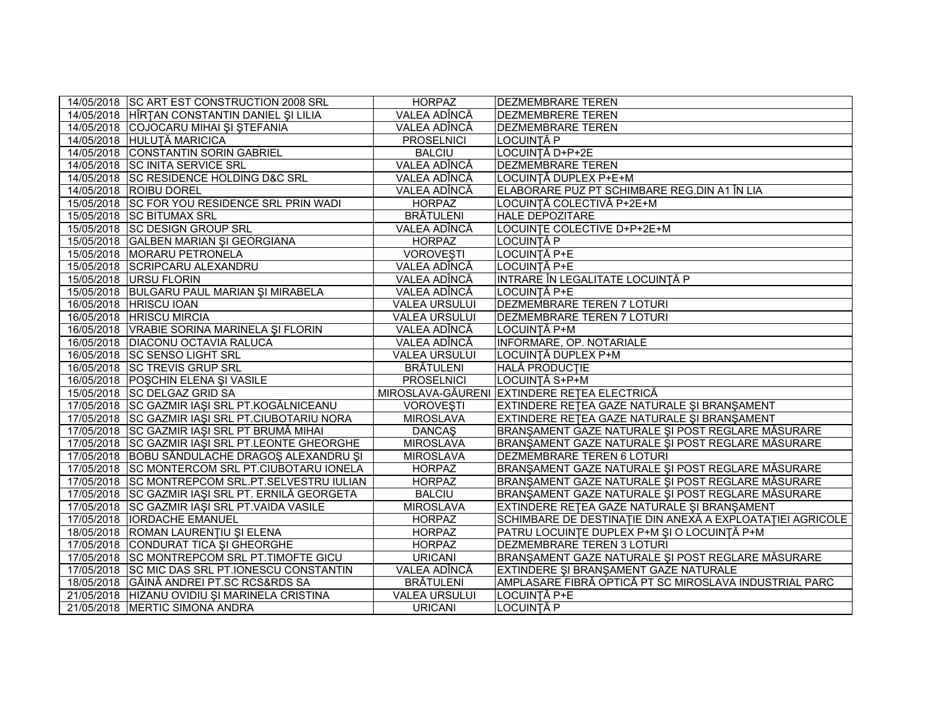| 14/05/2018 SC ART EST CONSTRUCTION 2008 SRL       | <b>HORPAZ</b>        | <b>DEZMEMBRARE TEREN</b>                                  |
|---------------------------------------------------|----------------------|-----------------------------------------------------------|
| 14/05/2018 HÎRȚAN CONSTANTIN DANIEL ȘI LILIA      | VALEA ADÎNCĂ         | <b>DEZMEMBRERE TEREN</b>                                  |
| 14/05/2018 COJOCARU MIHAI ȘI ȘTEFANIA             | VALEA ADÎNCĂ         | <b>DEZMEMBRARE TEREN</b>                                  |
| 14/05/2018 HULUȚĂ MARICICA                        | <b>PROSELNICI</b>    | LOCUINTĂ P                                                |
| 14/05/2018 CONSTANTIN SORIN GABRIEL               | <b>BALCIU</b>        | LOCUINȚĂ D+P+2E                                           |
| 14/05/2018 SC INITA SERVICE SRL                   | VALEA ADÎNCĂ         | <b>DEZMEMBRARE TEREN</b>                                  |
| 14/05/2018 SC RESIDENCE HOLDING D&C SRL           | VALEA ADÎNCĂ         | LOCUINȚĂ DUPLEX P+E+M                                     |
| 14/05/2018 ROIBU DOREL                            | VALEA ADÎNCĂ         | ELABORARE PUZ PT SCHIMBARE REG.DIN A1 ÎN LIA              |
| 15/05/2018 SC FOR YOU RESIDENCE SRL PRIN WADI     | <b>HORPAZ</b>        | LOCUINȚĂ COLECTIVĂ P+2E+M                                 |
| 15/05/2018 SC BITUMAX SRL                         | <b>BRÄTULENI</b>     | <b>HALE DEPOZITARE</b>                                    |
| 15/05/2018 SC DESIGN GROUP SRL                    | VALEA ADÎNCĂ         | LOCUINTE COLECTIVE D+P+2E+M                               |
| 15/05/2018 GALBEN MARIAN ȘI GEORGIANA             | <b>HORPAZ</b>        | LOCUINȚĂ P                                                |
| 15/05/2018 MORARU PETRONELA                       | <b>VOROVESTI</b>     | LOCUINȚĂ P+E                                              |
| 15/05/2018 SCRIPCARU ALEXANDRU                    | VALEA ADÎNCĂ         | LOCUINȚĂ P+E                                              |
| 15/05/2018 URSU FLORIN                            | VALEA ADÎNCĂ         | INTRARE ÎN LEGALITATE LOCUINȚĂ P                          |
| 15/05/2018 BULGARU PAUL MARIAN ȘI MIRABELA        | VALEA ADÎNCĂ         | LOCUINȚĂ P+E                                              |
| 16/05/2018 HRISCU IOAN                            | <b>VALEA URSULUI</b> | <b>DEZMEMBRARE TEREN 7 LOTURI</b>                         |
| 16/05/2018 HRISCU MIRCIA                          | <b>VALEA URSULUI</b> | <b>DEZMEMBRARE TEREN 7 LOTURI</b>                         |
| 16/05/2018 VRABIE SORINA MARINELA ȘI FLORIN       | VALEA ADÎNCĂ         | LOCUINȚĂ P+M                                              |
| 16/05/2018 DIACONU OCTAVIA RALUCA                 | VALEA ADÎNCĂ         | <b>INFORMARE, OP. NOTARIALE</b>                           |
| 16/05/2018 SC SENSO LIGHT SRL                     | <b>VALEA URSULUI</b> | LOCUINTĂ DUPLEX P+M                                       |
| 16/05/2018 SC TREVIS GRUP SRL                     | <b>BRÄTULENI</b>     | <b>HALĂ PRODUCTIE</b>                                     |
| 16/05/2018 POŞCHIN ELENA ŞI VASILE                | <b>PROSELNICI</b>    | LOCUINȚĂ S+P+M                                            |
| 15/05/2018 SC DELGAZ GRID SA                      |                      | MIROSLAVA-GĂURENI EXTINDERE REȚEA ELECTRICĂ               |
| 17/05/2018 SC GAZMIR IAȘI SRL PT.KOGĂLNICEANU     | <b>VOROVESTI</b>     | EXTINDERE RETEA GAZE NATURALE ȘI BRANȘAMENT               |
| 17/05/2018 SC GAZMIR IASI SRL PT.CIUBOTARIU NORA  | <b>MIROSLAVA</b>     | EXTINDERE RETEA GAZE NATURALE ȘI BRANȘAMENT               |
| 17/05/2018 SC GAZMIR IASI SRL PT BRUMĂ MIHAI      | <b>DANCAS</b>        | BRANȘAMENT GAZE NATURALE ȘI POST REGLARE MĂSURARE         |
| 17/05/2018 SC GAZMIR IAŞI SRL PT.LEONTE GHEORGHE  | <b>MIROSLAVA</b>     | BRANŞAMENT GAZE NATURALE ŞI POST REGLARE MĂSURARE         |
| 17/05/2018 BOBU SĂNDULACHE DRAGOȘ ALEXANDRU ȘI    | <b>MIROSLAVA</b>     | <b>DEZMEMBRARE TEREN 6 LOTURI</b>                         |
| 17/05/2018 SC MONTERCOM SRL PT.CIUBOTARU IONELA   | <b>HORPAZ</b>        | BRANȘAMENT GAZE NATURALE ȘI POST REGLARE MĂSURARE         |
| 17/05/2018 SC MONTREPCOM SRL.PT.SELVESTRU IULIAN  | <b>HORPAZ</b>        | BRANȘAMENT GAZE NATURALE ȘI POST REGLARE MĂSURARE         |
| 17/05/2018 SC GAZMIR IAȘI SRL PT. ERNILĂ GEORGETA | <b>BALCIU</b>        | BRANȘAMENT GAZE NATURALE ȘI POST REGLARE MĂSURARE         |
| 17/05/2018 SC GAZMIR IAŞI SRL PT.VAIDA VASILE     | <b>MIROSLAVA</b>     | EXTINDERE RETEA GAZE NATURALE ȘI BRANȘAMENT               |
| 17/05/2018   IORDACHE EMANUEL                     | <b>HORPAZ</b>        | SCHIMBARE DE DESTINAȚIE DIN ANEXĂ A EXPLOATAȚIEI AGRICOLE |
| 18/05/2018 ROMAN LAURENTIU ȘI ELENA               | <b>HORPAZ</b>        | PATRU LOCUINȚE DUPLEX P+M ȘI O LOCUINȚĂ P+M               |
| 17/05/2018 CONDURAT TICA ȘI GHEORGHE              | <b>HORPAZ</b>        | <b>DEZMEMBRARE TEREN 3 LOTURI</b>                         |
| 17/05/2018 SC MONTREPCOM SRL PT.TIMOFTE GICU      | <b>URICANI</b>       | BRANŞAMENT GAZE NATURALE ŞI POST REGLARE MĂSURARE         |
| 17/05/2018 SC MIC DAS SRL PT.IONESCU CONSTANTIN   | VALEA ADÎNCĂ         | EXTINDERE ȘI BRANȘAMENT GAZE NATURALE                     |
| 18/05/2018 GĂINĂ ANDREI PT.SC RCS&RDS SA          | <b>BRĂTULENI</b>     | AMPLASARE FIBRĂ OPTICĂ PT SC MIROSLAVA INDUSTRIAL PARC    |
| 21/05/2018 HIZANU OVIDIU ȘI MARINELA CRISTINA     | <b>VALEA URSULUI</b> | LOCUINȚĂ P+E                                              |
| 21/05/2018   MERTIC SIMONA ANDRA                  | <b>URICANI</b>       | LOCUINȚĂ P                                                |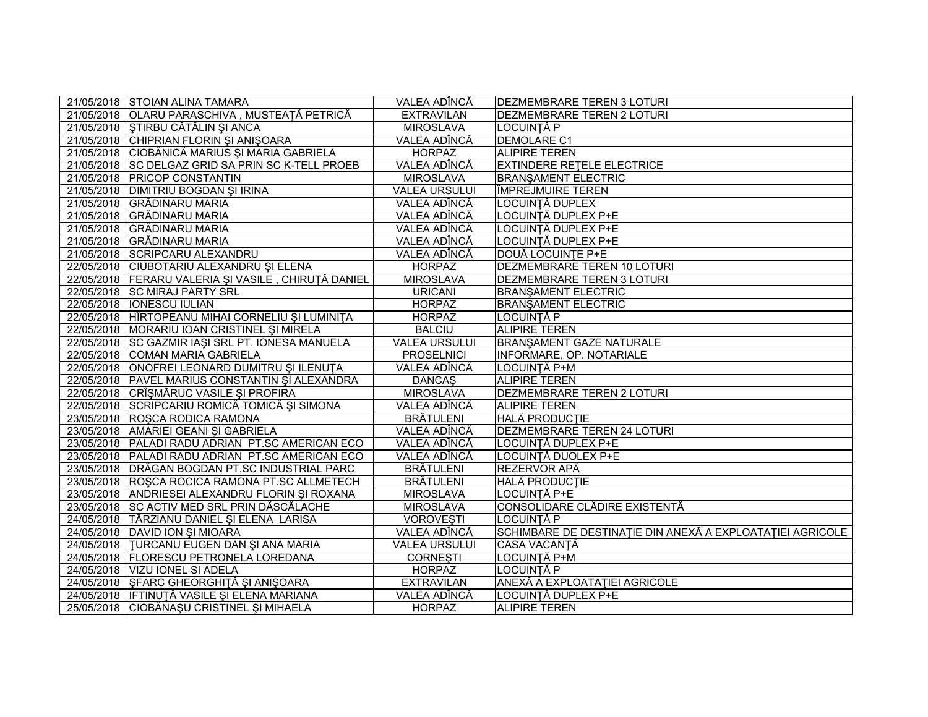| 21/05/2018 STOIAN ALINA TAMARA                      | VALEA ADÎNCĂ         | <b>DEZMEMBRARE TEREN 3 LOTURI</b>                         |
|-----------------------------------------------------|----------------------|-----------------------------------------------------------|
| 21/05/2018 OLARU PARASCHIVA, MUSTEAȚĂ PETRICĂ       | <b>EXTRAVILAN</b>    | <b>DEZMEMBRARE TEREN 2 LOTURI</b>                         |
| 21/05/2018 STIRBU CĂTĂLIN ȘI ANCA                   | <b>MIROSLAVA</b>     | LOCUINȚĂ P                                                |
| 21/05/2018 CHIPRIAN FLORIN ȘI ANIȘOARA              | VALEA ADÎNCĂ         | <b>DEMOLARE C1</b>                                        |
| 21/05/2018 CIOBĂNICĂ MARIUS ȘI MARIA GABRIELA       | <b>HORPAZ</b>        | <b>ALIPIRE TEREN</b>                                      |
| 21/05/2018 SC DELGAZ GRID SA PRIN SC K-TELL PROEB   | VALEA ADÎNCĂ         | <b>EXTINDERE RETELE ELECTRICE</b>                         |
| 21/05/2018 PRICOP CONSTANTIN                        | <b>MIROSLAVA</b>     | <b>BRANSAMENT ELECTRIC</b>                                |
| 21/05/2018 DIMITRIU BOGDAN ȘI IRINA                 | <b>VALEA URSULUI</b> | <b>IMPREJMUIRE TEREN</b>                                  |
| 21/05/2018 GRĂDINARU MARIA                          | VALEA ADÎNCĂ         | LOCUINȚĂ DUPLEX                                           |
| 21/05/2018 GRĂDINARU MARIA                          | VALEA ADÎNCĂ         | LOCUINȚĂ DUPLEX P+E                                       |
| 21/05/2018 GRĂDINARU MARIA                          | VALEA ADÎNCĂ         | LOCUINȚĂ DUPLEX P+E                                       |
| 21/05/2018 GRĂDINARU MARIA                          | VALEA ADÎNCĂ         | LOCUINȚĂ DUPLEX P+E                                       |
| 21/05/2018 SCRIPCARU ALEXANDRU                      | VALEA ADÎNCĂ         | DOUĂ LOCUINȚE P+E                                         |
| 22/05/2018 CIUBOTARIU ALEXANDRU ȘI ELENA            | <b>HORPAZ</b>        | DEZMEMBRARE TEREN 10 LOTURI                               |
| 22/05/2018 FERARU VALERIA ȘI VASILE, CHIRUȚĂ DANIEL | <b>MIROSLAVA</b>     | <b>DEZMEMBRARE TEREN 3 LOTURI</b>                         |
| 22/05/2018 SC MIRAJ PARTY SRL                       | <b>URICANI</b>       | <b>BRANŞAMENT ELECTRIC</b>                                |
| 22/05/2018   IONESCU IULIAN                         | <b>HORPAZ</b>        | <b>BRANSAMENT ELECTRIC</b>                                |
| 22/05/2018 HÎRTOPEANU MIHAI CORNELIU ȘI LUMINIȚA    | <b>HORPAZ</b>        | LOCUINȚĂ P                                                |
| 22/05/2018 MORARIU IOAN CRISTINEL ȘI MIRELA         | <b>BALCIU</b>        | <b>ALIPIRE TEREN</b>                                      |
| 22/05/2018 SC GAZMIR IASI SRL PT. IONESA MANUELA    | <b>VALEA URSULUI</b> | <b>BRANSAMENT GAZE NATURALE</b>                           |
| 22/05/2018 COMAN MARIA GABRIELA                     | <b>PROSELNICI</b>    | <b>INFORMARE, OP. NOTARIALE</b>                           |
| 22/05/2018 ONOFREI LEONARD DUMITRU ȘI ILENUȚA       | VALEA ADÎNCĂ         | LOCUINȚĂ P+M                                              |
| 22/05/2018 PAVEL MARIUS CONSTANTIN ȘI ALEXANDRA     | <b>DANCAŞ</b>        | <b>ALIPIRE TEREN</b>                                      |
| 22/05/2018 CRÎȘMĂRUC VASILE ȘI PROFIRA              | <b>MIROSLAVA</b>     | <b>DEZMEMBRARE TEREN 2 LOTURI</b>                         |
| 22/05/2018 SCRIPCARIU ROMICĂ TOMICĂ ȘI SIMONA       | VALEA ADÎNCĂ         | <b>ALIPIRE TEREN</b>                                      |
| 23/05/2018 ROSCA RODICA RAMONA                      | <b>BRÄTULENI</b>     | <b>HALĂ PRODUCTIE</b>                                     |
| 23/05/2018 AMARIEI GEANI ȘI GABRIELA                | VALEA ADÎNCĂ         | <b>DEZMEMBRARE TEREN 24 LOTURI</b>                        |
| 23/05/2018   PALADI RADU ADRIAN PT.SC AMERICAN ECO  | VALEA ADÎNCĂ         | LOCUINȚĂ DUPLEX P+E                                       |
| 23/05/2018   PALADI RADU ADRIAN PT.SC AMERICAN ECO  | VALEA ADÎNCĂ         | LOCUINȚĂ DUOLEX P+E                                       |
| 23/05/2018   DRĂGAN BOGDAN PT.SC INDUSTRIAL PARC    | <b>BRĂTULENI</b>     | REZERVOR APĂ                                              |
| 23/05/2018 ROSCA ROCICA RAMONA PT.SC ALLMETECH      | <b>BRÄTULENI</b>     | <b>HALĂ PRODUCTIE</b>                                     |
| 23/05/2018 ANDRIESEI ALEXANDRU FLORIN ȘI ROXANA     | <b>MIROSLAVA</b>     | LOCUINTĂ P+E                                              |
| 23/05/2018 SC ACTIV MED SRL PRIN DĂSCĂLACHE         | <b>MIROSLAVA</b>     | CONSOLIDARE CLĂDIRE EXISTENTĂ                             |
| 24/05/2018 TÂRZIANU DANIEL ȘI ELENA LARISA          | <b>VOROVEȘTI</b>     | LOCUINȚĂ P                                                |
| 24/05/2018 DAVID ION ȘI MIOARA                      | VALEA ADÎNCĂ         | SCHIMBARE DE DESTINAȚIE DIN ANEXĂ A EXPLOATAȚIEI AGRICOLE |
| 24/05/2018  TURCANU EUGEN DAN SI ANA MARIA          | <b>VALEA URSULUI</b> | CASA VACANȚĂ                                              |
| 24/05/2018 FLORESCU PETRONELA LOREDANA              | <b>CORNEȘTI</b>      | LOCUINȚĂ P+M                                              |
| 24/05/2018 VIZU IONEL SI ADELA                      | <b>HORPAZ</b>        | LOCUINȚĂ P                                                |
| 24/05/2018 ŞFARC GHEORGHITĂ ŞI ANIŞOARA             | <b>EXTRAVILAN</b>    | ANEXĂ A EXPLOATAȚIEI AGRICOLE                             |
| 24/05/2018   IFTINUȚĂ VASILE ȘI ELENA MARIANA       | VALEA ADÎNCĂ         | LOCUINȚĂ DUPLEX P+E                                       |
| 25/05/2018 CIOBĂNAȘU CRISTINEL ȘI MIHAELA           | <b>HORPAZ</b>        | <b>ALIPIRE TEREN</b>                                      |